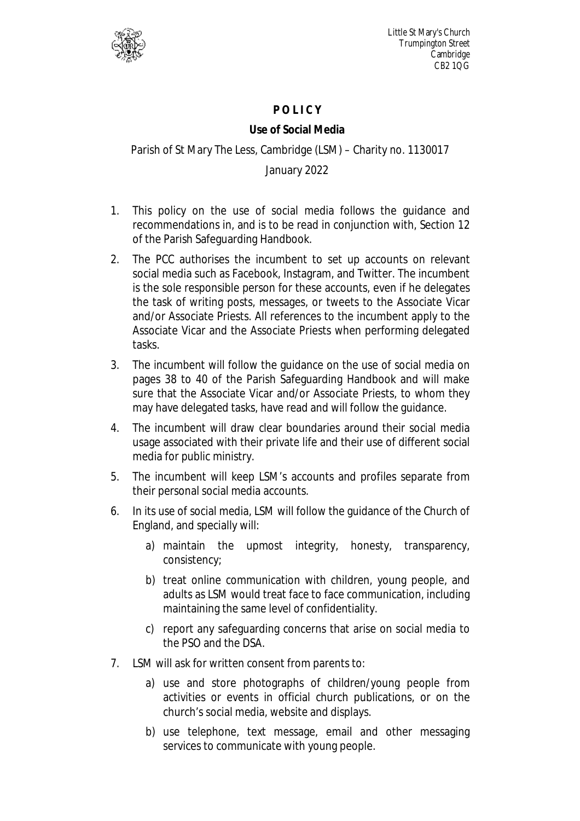

Little St Mary's Church Trumpington Street **Cambridge** CB2 1QG

## **P O L I C Y**

## **Use of Social Media**

## Parish of St Mary The Less, Cambridge (LSM) – Charity no. 1130017

## January 2022

- 1. This policy on the use of social media follows the guidance and recommendations in, and is to be read in conjunction with, Section 12 of the Parish Safeguarding Handbook.
- 2. The PCC authorises the incumbent to set up accounts on relevant social media such as Facebook, Instagram, and Twitter. The incumbent is the sole responsible person for these accounts, even if he delegates the task of writing posts, messages, or tweets to the Associate Vicar and/or Associate Priests. All references to the incumbent apply to the Associate Vicar and the Associate Priests when performing delegated tasks.
- 3. The incumbent will follow the guidance on the use of social media on pages 38 to 40 of the Parish Safeguarding Handbook and will make sure that the Associate Vicar and/or Associate Priests, to whom they may have delegated tasks, have read and will follow the guidance.
- 4. The incumbent will draw clear boundaries around their social media usage associated with their private life and their use of different social media for public ministry.
- 5. The incumbent will keep LSM's accounts and profiles separate from their personal social media accounts.
- 6. In its use of social media, LSM will follow the guidance of the Church of England, and specially will:
	- a) maintain the upmost integrity, honesty, transparency, consistency;
	- b) treat online communication with children, young people, and adults as LSM would treat face to face communication, including maintaining the same level of confidentiality.
	- c) report any safeguarding concerns that arise on social media to the PSO and the DSA.
- 7. LSM will ask for written consent from parents to:
	- a) use and store photographs of children/young people from activities or events in official church publications, or on the church's social media, website and displays.
	- b) use telephone, text message, email and other messaging services to communicate with young people.